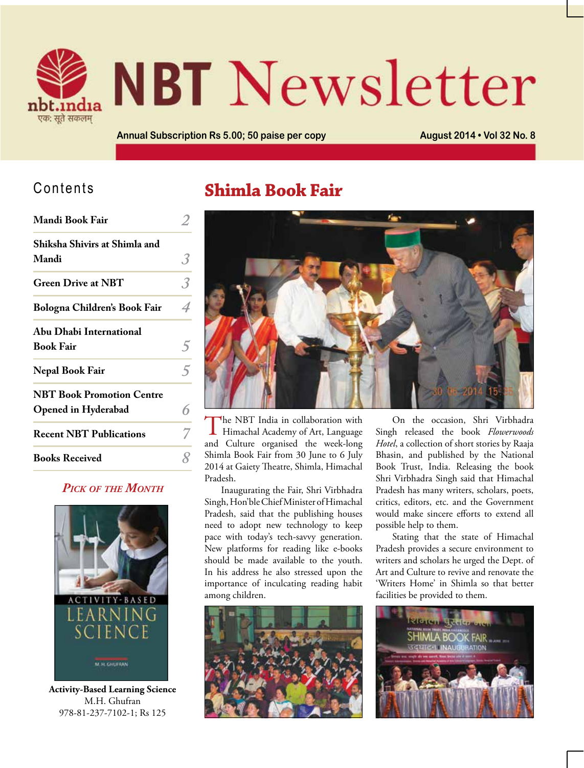

# **NBT** Newsletter

**Annual Subscription Rs 5.00; 50 paise per copy August 2014 • Vol 32 No. 8**

### Contents

| Mandi Book Fair                  |   |
|----------------------------------|---|
| Shiksha Shivirs at Shimla and    |   |
| Mandi                            | 3 |
| <b>Green Drive at NBT</b>        |   |
| Bologna Children's Book Fair     |   |
| Abu Dhabi International          |   |
| <b>Book Fair</b>                 |   |
| Nepal Book Fair                  |   |
| <b>NBT Book Promotion Centre</b> |   |
| Opened in Hyderabad              |   |
| <b>Recent NBT Publications</b>   |   |
| <b>Books Received</b>            |   |

#### *Pick of the Month*



**Activity-Based Learning Science** M.H. Ghufran 978-81-237-7102-1; Rs 125

## **Shimla Book Fair**



The NBT India in collaboration with Himachal Academy of Art, Language and Culture organised the week-long Shimla Book Fair from 30 June to 6 July 2014 at Gaiety Theatre, Shimla, Himachal Pradesh.

Inaugurating the Fair, Shri Virbhadra Singh, Hon'ble Chief Minister of Himachal Pradesh, said that the publishing houses need to adopt new technology to keep pace with today's tech-savvy generation. New platforms for reading like e-books should be made available to the youth. In his address he also stressed upon the importance of inculcating reading habit among children.



On the occasion, Shri Virbhadra Singh released the book *Flowerwoods Hotel*, a collection of short stories by Raaja Bhasin, and published by the National Book Trust, India. Releasing the book Shri Virbhadra Singh said that Himachal Pradesh has many writers, scholars, poets, critics, editors, etc. and the Government would make sincere efforts to extend all possible help to them.

Stating that the state of Himachal Pradesh provides a secure environment to writers and scholars he urged the Dept. of Art and Culture to revive and renovate the 'Writers Home' in Shimla so that better facilities be provided to them.

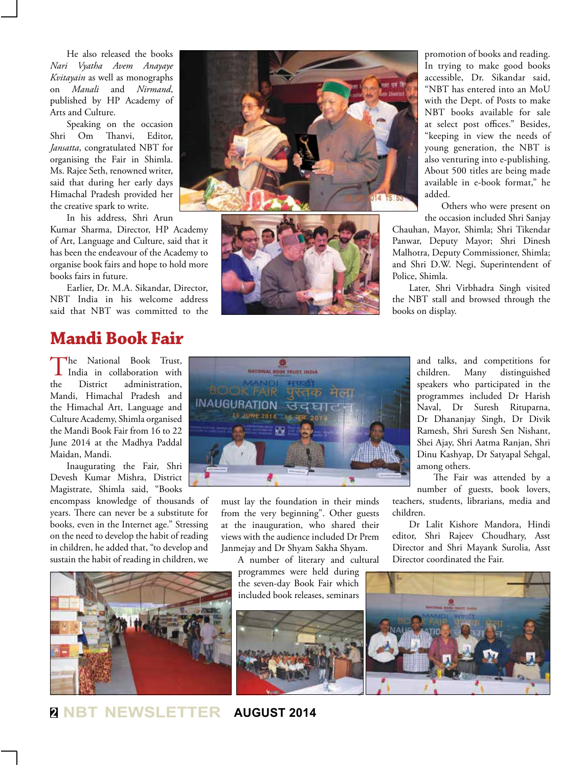He also released the books *Nari Vyatha Avem Anayaye Kvitayain* as well as monographs on *Manali* and *Nirmand*, published by HP Academy of Arts and Culture.

Speaking on the occasion Shri Om Thanvi, Editor, *Jansatta*, congratulated NBT for organising the Fair in Shimla. Ms. Rajee Seth, renowned writer, said that during her early days Himachal Pradesh provided her the creative spark to write.

In his address, Shri Arun

Kumar Sharma, Director, HP Academy of Art, Language and Culture, said that it has been the endeavour of the Academy to organise book fairs and hope to hold more books fairs in future.

Earlier, Dr. M.A. Sikandar, Director, NBT India in his welcome address said that NBT was committed to the

## **Mandi Book Fair**

The National Book Trust, India in collaboration with the District administration, Mandi, Himachal Pradesh and the Himachal Art, Language and Culture Academy, Shimla organised the Mandi Book Fair from 16 to 22 June 2014 at the Madhya Paddal Maidan, Mandi.

Inaugurating the Fair, Shri Devesh Kumar Mishra, District Magistrate, Shimla said, "Books

encompass knowledge of thousands of years. There can never be a substitute for books, even in the Internet age." Stressing on the need to develop the habit of reading in children, he added that, "to develop and sustain the habit of reading in children, we







promotion of books and reading. In trying to make good books accessible, Dr. Sikandar said, "NBT has entered into an MoU with the Dept. of Posts to make NBT books available for sale at select post offices." Besides, "keeping in view the needs of young generation, the NBT is also venturing into e-publishing. About 500 titles are being made available in e-book format," he added.

Others who were present on the occasion included Shri Sanjay

Chauhan, Mayor, Shimla; Shri Tikendar Panwar, Deputy Mayor; Shri Dinesh Malhotra, Deputy Commissioner, Shimla; and Shri D.W. Negi, Superintendent of Police, Shimla.

Later, Shri Virbhadra Singh visited the NBT stall and browsed through the books on display.



must lay the foundation in their minds from the very beginning". Other guests at the inauguration, who shared their views with the audience included Dr Prem Janmejay and Dr Shyam Sakha Shyam.

A number of literary and cultural

programmes were held during the seven-day Book Fair which included book releases, seminars



and talks, and competitions for children. Many distinguished speakers who participated in the programmes included Dr Harish Naval, Dr Suresh Rituparna, Dr Dhananjay Singh, Dr Divik Ramesh, Shri Suresh Sen Nishant, Shei Ajay, Shri Aatma Ranjan, Shri Dinu Kashyap, Dr Satyapal Sehgal, among others.

The Fair was attended by a number of guests, book lovers,

teachers, students, librarians, media and children.

Dr Lalit Kishore Mandora, Hindi editor, Shri Rajeev Choudhary, Asst Director and Shri Mayank Surolia, Asst Director coordinated the Fair.



**<sup>2</sup> NBT NEWSLETTER AUGUST 2014**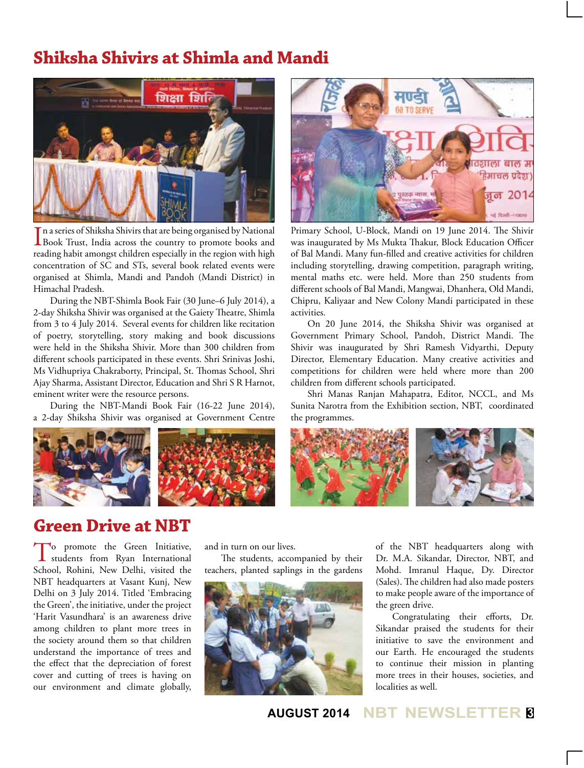## **Shiksha Shivirs at Shimla and Mandi**



In a series of Shiksha Shivirs that are being organised by National<br>Book Trust, India across the country to promote books and n a series of Shiksha Shivirs that are being organised by National reading habit amongst children especially in the region with high concentration of SC and STs, several book related events were organised at Shimla, Mandi and Pandoh (Mandi District) in Himachal Pradesh.

During the NBT-Shimla Book Fair (30 June–6 July 2014), a 2-day Shiksha Shivir was organised at the Gaiety Theatre, Shimla from 3 to 4 July 2014. Several events for children like recitation of poetry, storytelling, story making and book discussions were held in the Shiksha Shivir. More than 300 children from different schools participated in these events. Shri Srinivas Joshi, Ms Vidhupriya Chakraborty, Principal, St. Thomas School, Shri Ajay Sharma, Assistant Director, Education and Shri S R Harnot, eminent writer were the resource persons.

During the NBT-Mandi Book Fair (16-22 June 2014), a 2-day Shiksha Shivir was organised at Government Centre





Primary School, U-Block, Mandi on 19 June 2014. The Shivir was inaugurated by Ms Mukta Thakur, Block Education Officer of Bal Mandi. Many fun-filled and creative activities for children including storytelling, drawing competition, paragraph writing, mental maths etc. were held. More than 250 students from different schools of Bal Mandi, Mangwai, Dhanhera, Old Mandi, Chipru, Kaliyaar and New Colony Mandi participated in these activities.

On 20 June 2014, the Shiksha Shivir was organised at Government Primary School, Pandoh, District Mandi. The Shivir was inaugurated by Shri Ramesh Vidyarthi, Deputy Director, Elementary Education. Many creative activities and competitions for children were held where more than 200 children from different schools participated.

Shri Manas Ranjan Mahapatra, Editor, NCCL, and Ms Sunita Narotra from the Exhibition section, NBT, coordinated the programmes.



## **Green Drive at NBT**

To promote the Green Initiative,<br>
students from Ryan International<br>
Salman Dalling and Lindsch School, Rohini, New Delhi, visited the NBT headquarters at Vasant Kunj, New Delhi on 3 July 2014. Titled 'Embracing the Green', the initiative, under the project 'Harit Vasundhara' is an awareness drive among children to plant more trees in the society around them so that children understand the importance of trees and the effect that the depreciation of forest cover and cutting of trees is having on our environment and climate globally,

and in turn on our lives.

The students, accompanied by their teachers, planted saplings in the gardens



of the NBT headquarters along with Dr. M.A. Sikandar, Director, NBT, and Mohd. Imranul Haque, Dy. Director (Sales). The children had also made posters to make people aware of the importance of the green drive.

Congratulating their efforts, Dr. Sikandar praised the students for their initiative to save the environment and our Earth. He encouraged the students to continue their mission in planting more trees in their houses, societies, and localities as well.

**AUGUST 2014 NBT NEWSLETTER <sup>3</sup>**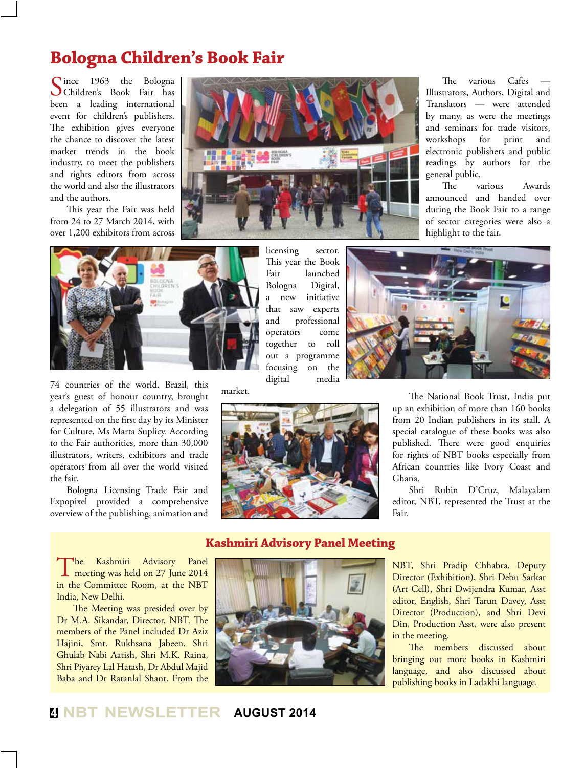## **Bologna Children's Book Fair**

Since 1963 the Bologna<br>Children's Book Fair has been a leading international event for children's publishers. The exhibition gives everyone the chance to discover the latest market trends in the book industry, to meet the publishers and rights editors from across the world and also the illustrators and the authors.

This year the Fair was held from 24 to 27 March 2014, with over 1,200 exhibitors from across



licensing sector. This year the Book Fair launched Bologna Digital, a new initiative

The various Cafes Illustrators, Authors, Digital and Translators — were attended by many, as were the meetings and seminars for trade visitors, workshops for print and electronic publishers and public readings by authors for the general public.

The various Awards announced and handed over during the Book Fair to a range of sector categories were also a highlight to the fair.



74 countries of the world. Brazil, this year's guest of honour country, brought a delegation of 55 illustrators and was represented on the first day by its Minister for Culture, Ms Marta Suplicy. According to the Fair authorities, more than 30,000 illustrators, writers, exhibitors and trade operators from all over the world visited the fair.

Bologna Licensing Trade Fair and Expopixel provided a comprehensive overview of the publishing, animation and

that saw experts and professional operators come together to roll out a programme focusing on the digital media

market.





The National Book Trust, India put up an exhibition of more than 160 books from 20 Indian publishers in its stall. A special catalogue of these books was also published. There were good enquiries for rights of NBT books especially from African countries like Ivory Coast and Ghana.

Shri Rubin D'Cruz, Malayalam editor, NBT, represented the Trust at the Fair.

#### **Kashmiri Advisory Panel Meeting**

The Kashmiri Advisory Panel<br>
meeting was held on 27 June 2014 in the Committee Room, at the NBT India, New Delhi.

The Meeting was presided over by Dr M.A. Sikandar, Director, NBT. The members of the Panel included Dr Aziz Hajini, Smt. Rukhsana Jabeen, Shri Ghulab Nabi Aatish, Shri M.K. Raina, Shri Piyarey Lal Hatash, Dr Abdul Majid Baba and Dr Ratanlal Shant. From the



NBT, Shri Pradip Chhabra, Deputy Director (Exhibition), Shri Debu Sarkar (Art Cell), Shri Dwijendra Kumar, Asst editor, English, Shri Tarun Davey, Asst Director (Production), and Shri Devi Din, Production Asst, were also present in the meeting.

The members discussed about bringing out more books in Kashmiri language, and also discussed about publishing books in Ladakhi language.

#### **<sup>4</sup> NBT NEWSLETTER AUGUST 2014**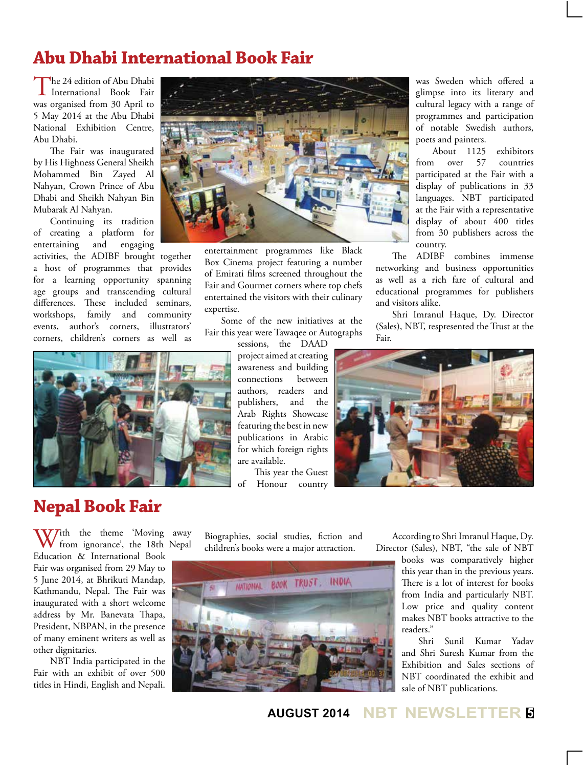## **Abu Dhabi International Book Fair**

The 24 edition of Abu Dhabi<br>International Book Fair was organised from 30 April to 5 May 2014 at the Abu Dhabi National Exhibition Centre, Abu Dhabi.

The Fair was inaugurated by His Highness General Sheikh Mohammed Bin Zayed Al Nahyan, Crown Prince of Abu Dhabi and Sheikh Nahyan Bin Mubarak Al Nahyan.

Continuing its tradition of creating a platform for entertaining and engaging activities, the ADIBF brought together a host of programmes that provides for a learning opportunity spanning age groups and transcending cultural

differences. These included seminars, workshops, family and community events, author's corners, illustrators' corners, children's corners as well as





entertainment programmes like Black Box Cinema project featuring a number of Emirati films screened throughout the Fair and Gourmet corners where top chefs entertained the visitors with their culinary expertise.

Some of the new initiatives at the Fair this year were Tawaqee or Autographs

sessions, the DAAD project aimed at creating awareness and building connections between authors, readers and publishers, and the Arab Rights Showcase featuring the best in new publications in Arabic for which foreign rights are available.

This year the Guest of Honour country

was Sweden which offered a glimpse into its literary and cultural legacy with a range of programmes and participation of notable Swedish authors, poets and painters.

About 1125 exhibitors from over 57 countries participated at the Fair with a display of publications in 33 languages. NBT participated at the Fair with a representative display of about 400 titles from 30 publishers across the country.

The ADIBF combines immense networking and business opportunities as well as a rich fare of cultural and educational programmes for publishers and visitors alike.

Shri Imranul Haque, Dy. Director (Sales), NBT, respresented the Trust at the Fair.



## **Nepal Book Fair**

With the theme 'Moving away<br>
from ignorance', the 18th Nepal Education & International Book Fair was organised from 29 May to 5 June 2014, at Bhrikuti Mandap, Kathmandu, Nepal. The Fair was inaugurated with a short welcome address by Mr. Banevata Thapa, President, NBPAN, in the presence of many eminent writers as well as other dignitaries.

NBT India participated in the Fair with an exhibit of over 500 titles in Hindi, English and Nepali.

Biographies, social studies, fiction and children's books were a major attraction.



According to Shri Imranul Haque, Dy. Director (Sales), NBT, "the sale of NBT

books was comparatively higher this year than in the previous years. There is a lot of interest for books from India and particularly NBT. Low price and quality content makes NBT books attractive to the readers."

Shri Sunil Kumar Yadav and Shri Suresh Kumar from the Exhibition and Sales sections of NBT coordinated the exhibit and sale of NBT publications.

**AUGUST 2014 NBT NEWSLETTER <sup>5</sup>**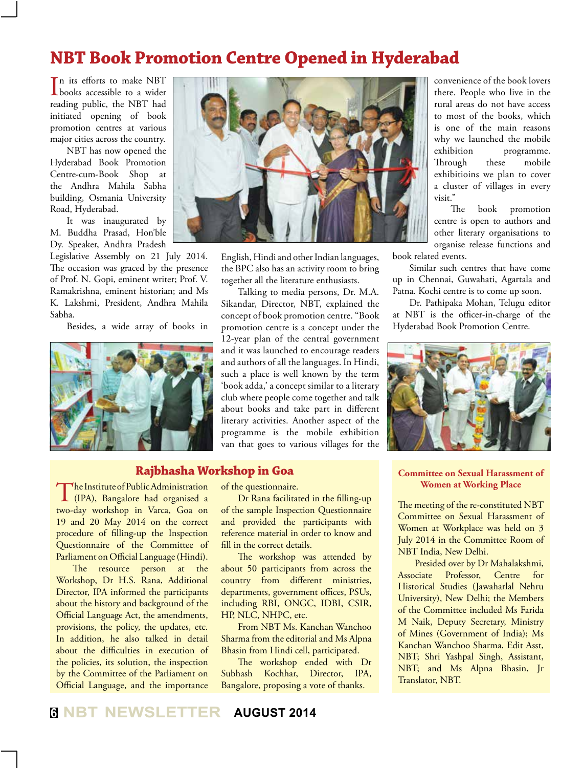## **NBT Book Promotion Centre Opened in Hyderabad**

In its efforts to make NBT<br>books accessible to a wider n its efforts to make NBT reading public, the NBT had initiated opening of book promotion centres at various major cities across the country.

NBT has now opened the Hyderabad Book Promotion Centre-cum-Book Shop at the Andhra Mahila Sabha building, Osmania University Road, Hyderabad.

It was inaugurated by M. Buddha Prasad, Hon'ble Dy. Speaker, Andhra Pradesh

Legislative Assembly on 21 July 2014. The occasion was graced by the presence of Prof. N. Gopi, eminent writer; Prof. V. Ramakrishna, eminent historian; and Ms K. Lakshmi, President, Andhra Mahila Sabha.

Besides, a wide array of books in





English, Hindi and other Indian languages, the BPC also has an activity room to bring together all the literature enthusiasts.

Talking to media persons, Dr. M.A. Sikandar, Director, NBT, explained the concept of book promotion centre. "Book promotion centre is a concept under the 12-year plan of the central government and it was launched to encourage readers and authors of all the languages. In Hindi, such a place is well known by the term 'book adda,' a concept similar to a literary club where people come together and talk about books and take part in different literary activities. Another aspect of the programme is the mobile exhibition van that goes to various villages for the

#### **Rajbhasha Workshop in Goa**

The Institute of Public Administration<br>
(IPA), Bangalore had organised a two-day workshop in Varca, Goa on 19 and 20 May 2014 on the correct procedure of filling-up the Inspection Questionnaire of the Committee of Parliament on Official Language (Hindi).

The resource person at the Workshop, Dr H.S. Rana, Additional Director, IPA informed the participants about the history and background of the Official Language Act, the amendments, provisions, the policy, the updates, etc. In addition, he also talked in detail about the difficulties in execution of the policies, its solution, the inspection by the Committee of the Parliament on Official Language, and the importance

of the questionnaire.

Dr Rana facilitated in the filling-up of the sample Inspection Questionnaire and provided the participants with reference material in order to know and fill in the correct details.

The workshop was attended by about 50 participants from across the country from different ministries, departments, government offices, PSUs, including RBI, ONGC, IDBI, CSIR, HP, NLC, NHPC, etc.

From NBT Ms. Kanchan Wanchoo Sharma from the editorial and Ms Alpna Bhasin from Hindi cell, participated.

The workshop ended with Dr Subhash Kochhar, Director, IPA, Bangalore, proposing a vote of thanks.

convenience of the book lovers there. People who live in the rural areas do not have access to most of the books, which is one of the main reasons why we launched the mobile exhibition programme. Through these mobile exhibitioins we plan to cover a cluster of villages in every visit."

The book promotion centre is open to authors and other literary organisations to organise release functions and book related events.

Similar such centres that have come up in Chennai, Guwahati, Agartala and Patna. Kochi centre is to come up soon.

Dr. Pathipaka Mohan, Telugu editor at NBT is the officer-in-charge of the Hyderabad Book Promotion Centre.



#### **Committee on Sexual Harassment of Women at Working Place**

The meeting of the re-constituted NBT Committee on Sexual Harassment of Women at Workplace was held on 3 July 2014 in the Committee Room of NBT India, New Delhi.

Presided over by Dr Mahalakshmi, Associate Professor, Centre for Historical Studies (Jawaharlal Nehru University), New Delhi; the Members of the Committee included Ms Farida M Naik, Deputy Secretary, Ministry of Mines (Government of India); Ms Kanchan Wanchoo Sharma, Edit Asst, NBT; Shri Yashpal Singh, Assistant, NBT; and Ms Alpna Bhasin, Jr Translator, NBT.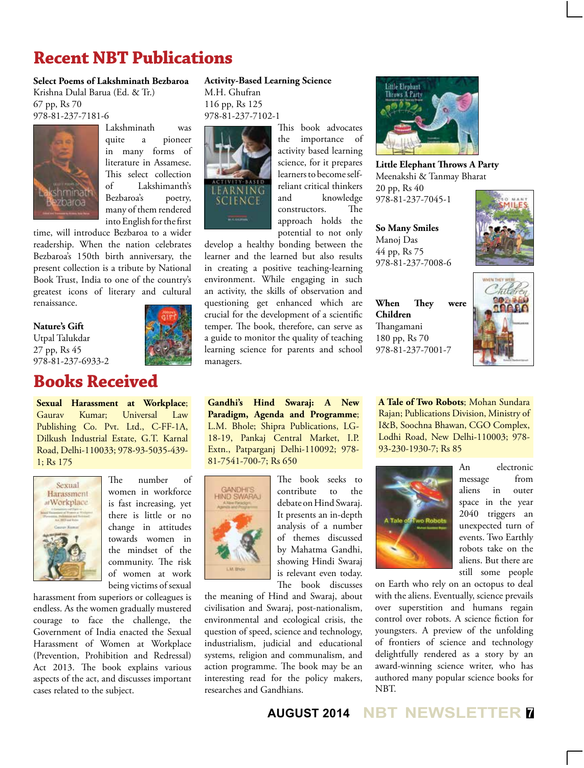## **Recent NBT Publications**

#### **Select Poems of Lakshminath Bezbaroa**

Krishna Dulal Barua (Ed. & Tr.) 67 pp, Rs 70 978-81-237-7181-6



Lakshminath was quite a pioneer in many forms of literature in Assamese. This select collection of Lakshimanth's Bezbaroa's poetry, many of them rendered into English for the first

time, will introduce Bezbaroa to a wider readership. When the nation celebrates Bezbaroa's 150th birth anniversary, the present collection is a tribute by National Book Trust, India to one of the country's greatest icons of literary and cultural renaissance.

**Nature's Gift** Utpal Talukdar 27 pp, Rs 45 978-81-237-6933-2

### **Books Received**

**Sexual Harassment at Workplace**; Gaurav Kumar; Universal Law Publishing Co. Pvt. Ltd., C-FF-1A, Dilkush Industrial Estate, G.T. Karnal Road, Delhi-110033; 978-93-5035-439- 1; Rs 175



The number of women in workforce is fast increasing, yet there is little or no change in attitudes towards women in the mindset of the community. The risk of women at work being victims of sexual

harassment from superiors or colleagues is endless. As the women gradually mustered courage to face the challenge, the Government of India enacted the Sexual Harassment of Women at Workplace (Prevention, Prohibition and Redressal) Act 2013. The book explains various aspects of the act, and discusses important cases related to the subject.

#### **Activity-Based Learning Science**

M.H. Ghufran 116 pp, Rs 125 978-81-237-7102-1



This book advocates the importance of activity based learning science, for it prepares learners to become selfreliant critical thinkers and knowledge constructors. The approach holds the potential to not only

develop a healthy bonding between the learner and the learned but also results in creating a positive teaching-learning environment. While engaging in such an activity, the skills of observation and questioning get enhanced which are crucial for the development of a scientific temper. The book, therefore, can serve as a guide to monitor the quality of teaching learning science for parents and school managers.

**Gandhi's Hind Swaraj: A New Paradigm, Agenda and Programme**; L.M. Bhole; Shipra Publications, LG-18-19, Pankaj Central Market, I.P. Extn., Patparganj Delhi-110092; 978- 81-7541-700-7; Rs 650



The book seeks to contribute to the debate on Hind Swaraj. It presents an in-depth analysis of a number of themes discussed by Mahatma Gandhi, showing Hindi Swaraj is relevant even today. The book discusses

the meaning of Hind and Swaraj, about civilisation and Swaraj, post-nationalism, environmental and ecological crisis, the question of speed, science and technology, industrialism, judicial and educational systems, religion and communalism, and action programme. The book may be an interesting read for the policy makers, researches and Gandhians.



**Little Elephant Throws A Party** Meenakshi & Tanmay Bharat 20 pp, Rs 40 978-81-237-7045-1

**So Many Smiles** Manoj Das 44 pp, Rs 75 978-81-237-7008-6



**When They were Children** Thangamani 180 pp, Rs 70 978-81-237-7001-7



**A Tale of Two Robots**; Mohan Sundara Rajan; Publications Division, Ministry of I&B, Soochna Bhawan, CGO Complex, Lodhi Road, New Delhi-110003; 978- 93-230-1930-7; Rs 85



An electronic message from aliens in outer space in the year 2040 triggers an unexpected turn of events. Two Earthly robots take on the aliens. But there are still some people

on Earth who rely on an octopus to deal with the aliens. Eventually, science prevails over superstition and humans regain control over robots. A science fiction for youngsters. A preview of the unfolding of frontiers of science and technology delightfully rendered as a story by an award-winning science writer, who has authored many popular science books for NBT.